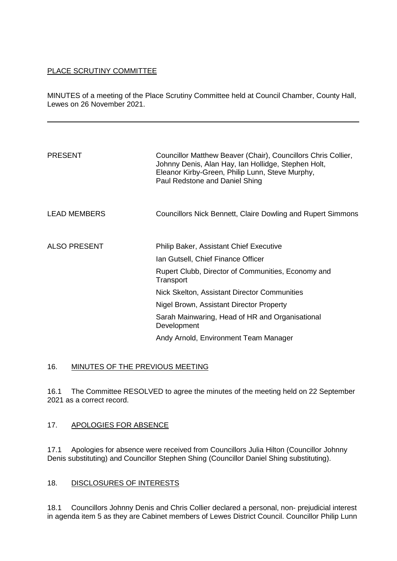## PLACE SCRUTINY COMMITTEE

MINUTES of a meeting of the Place Scrutiny Committee held at Council Chamber, County Hall, Lewes on 26 November 2021.

| <b>PRESENT</b>      | Councillor Matthew Beaver (Chair), Councillors Chris Collier,<br>Johnny Denis, Alan Hay, Ian Hollidge, Stephen Holt,<br>Eleanor Kirby-Green, Philip Lunn, Steve Murphy,<br>Paul Redstone and Daniel Shing |
|---------------------|-----------------------------------------------------------------------------------------------------------------------------------------------------------------------------------------------------------|
| <b>LEAD MEMBERS</b> | Councillors Nick Bennett, Claire Dowling and Rupert Simmons                                                                                                                                               |
| <b>ALSO PRESENT</b> | <b>Philip Baker, Assistant Chief Executive</b><br>Ian Gutsell, Chief Finance Officer                                                                                                                      |
|                     | Rupert Clubb, Director of Communities, Economy and<br>Transport                                                                                                                                           |
|                     | Nick Skelton, Assistant Director Communities                                                                                                                                                              |
|                     | Nigel Brown, Assistant Director Property                                                                                                                                                                  |
|                     | Sarah Mainwaring, Head of HR and Organisational<br>Development                                                                                                                                            |
|                     | Andy Arnold, Environment Team Manager                                                                                                                                                                     |

# 16. MINUTES OF THE PREVIOUS MEETING

16.1 The Committee RESOLVED to agree the minutes of the meeting held on 22 September 2021 as a correct record.

# 17. APOLOGIES FOR ABSENCE

17.1 Apologies for absence were received from Councillors Julia Hilton (Councillor Johnny Denis substituting) and Councillor Stephen Shing (Councillor Daniel Shing substituting).

# 18. DISCLOSURES OF INTERESTS

18.1 Councillors Johnny Denis and Chris Collier declared a personal, non- prejudicial interest in agenda item 5 as they are Cabinet members of Lewes District Council. Councillor Philip Lunn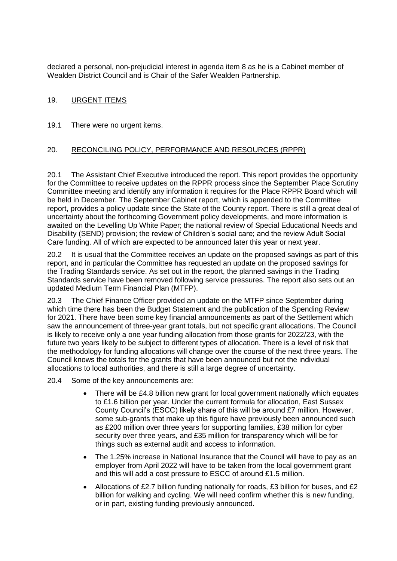declared a personal, non-prejudicial interest in agenda item 8 as he is a Cabinet member of Wealden District Council and is Chair of the Safer Wealden Partnership.

# 19. URGENT ITEMS

19.1 There were no urgent items.

## 20. RECONCILING POLICY, PERFORMANCE AND RESOURCES (RPPR)

20.1 The Assistant Chief Executive introduced the report. This report provides the opportunity for the Committee to receive updates on the RPPR process since the September Place Scrutiny Committee meeting and identify any information it requires for the Place RPPR Board which will be held in December. The September Cabinet report, which is appended to the Committee report, provides a policy update since the State of the County report. There is still a great deal of uncertainty about the forthcoming Government policy developments, and more information is awaited on the Levelling Up White Paper; the national review of Special Educational Needs and Disability (SEND) provision; the review of Children's social care; and the review Adult Social Care funding. All of which are expected to be announced later this year or next year.

20.2 It is usual that the Committee receives an update on the proposed savings as part of this report, and in particular the Committee has requested an update on the proposed savings for the Trading Standards service. As set out in the report, the planned savings in the Trading Standards service have been removed following service pressures. The report also sets out an updated Medium Term Financial Plan (MTFP).

20.3 The Chief Finance Officer provided an update on the MTFP since September during which time there has been the Budget Statement and the publication of the Spending Review for 2021. There have been some key financial announcements as part of the Settlement which saw the announcement of three-year grant totals, but not specific grant allocations. The Council is likely to receive only a one year funding allocation from those grants for 2022/23, with the future two years likely to be subject to different types of allocation. There is a level of risk that the methodology for funding allocations will change over the course of the next three years. The Council knows the totals for the grants that have been announced but not the individual allocations to local authorities, and there is still a large degree of uncertainty.

- 20.4 Some of the key announcements are:
	- There will be £4.8 billion new grant for local government nationally which equates to £1.6 billion per year. Under the current formula for allocation, East Sussex County Council's (ESCC) likely share of this will be around £7 million. However, some sub-grants that make up this figure have previously been announced such as £200 million over three years for supporting families, £38 million for cyber security over three years, and £35 million for transparency which will be for things such as external audit and access to information.
	- The 1.25% increase in National Insurance that the Council will have to pay as an employer from April 2022 will have to be taken from the local government grant and this will add a cost pressure to ESCC of around £1.5 million.
	- Allocations of £2.7 billion funding nationally for roads, £3 billion for buses, and £2 billion for walking and cycling. We will need confirm whether this is new funding, or in part, existing funding previously announced.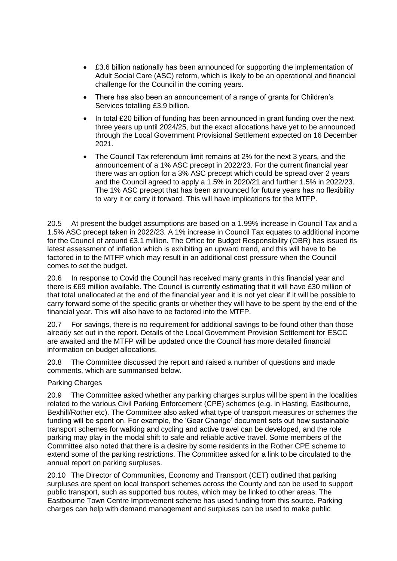- £3.6 billion nationally has been announced for supporting the implementation of Adult Social Care (ASC) reform, which is likely to be an operational and financial challenge for the Council in the coming years.
- There has also been an announcement of a range of grants for Children's Services totalling £3.9 billion.
- In total £20 billion of funding has been announced in grant funding over the next three years up until 2024/25, but the exact allocations have yet to be announced through the Local Government Provisional Settlement expected on 16 December 2021.
- The Council Tax referendum limit remains at 2% for the next 3 years, and the announcement of a 1% ASC precept in 2022/23. For the current financial year there was an option for a 3% ASC precept which could be spread over 2 years and the Council agreed to apply a 1.5% in 2020/21 and further 1.5% in 2022/23. The 1% ASC precept that has been announced for future years has no flexibility to vary it or carry it forward. This will have implications for the MTFP.

20.5 At present the budget assumptions are based on a 1.99% increase in Council Tax and a 1.5% ASC precept taken in 2022/23. A 1% increase in Council Tax equates to additional income for the Council of around £3.1 million. The Office for Budget Responsibility (OBR) has issued its latest assessment of inflation which is exhibiting an upward trend, and this will have to be factored in to the MTFP which may result in an additional cost pressure when the Council comes to set the budget.

20.6 In response to Covid the Council has received many grants in this financial year and there is £69 million available. The Council is currently estimating that it will have £30 million of that total unallocated at the end of the financial year and it is not yet clear if it will be possible to carry forward some of the specific grants or whether they will have to be spent by the end of the financial year. This will also have to be factored into the MTFP.

20.7 For savings, there is no requirement for additional savings to be found other than those already set out in the report. Details of the Local Government Provision Settlement for ESCC are awaited and the MTFP will be updated once the Council has more detailed financial information on budget allocations.

20.8 The Committee discussed the report and raised a number of questions and made comments, which are summarised below.

### Parking Charges

20.9 The Committee asked whether any parking charges surplus will be spent in the localities related to the various Civil Parking Enforcement (CPE) schemes (e.g. in Hasting, Eastbourne, Bexhill/Rother etc). The Committee also asked what type of transport measures or schemes the funding will be spent on. For example, the 'Gear Change' document sets out how sustainable transport schemes for walking and cycling and active travel can be developed, and the role parking may play in the modal shift to safe and reliable active travel. Some members of the Committee also noted that there is a desire by some residents in the Rother CPE scheme to extend some of the parking restrictions. The Committee asked for a link to be circulated to the annual report on parking surpluses.

20.10 The Director of Communities, Economy and Transport (CET) outlined that parking surpluses are spent on local transport schemes across the County and can be used to support public transport, such as supported bus routes, which may be linked to other areas. The Eastbourne Town Centre Improvement scheme has used funding from this source. Parking charges can help with demand management and surpluses can be used to make public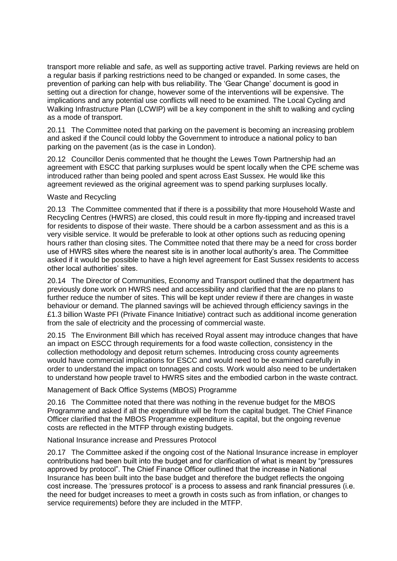transport more reliable and safe, as well as supporting active travel. Parking reviews are held on a regular basis if parking restrictions need to be changed or expanded. In some cases, the prevention of parking can help with bus reliability. The 'Gear Change' document is good in setting out a direction for change, however some of the interventions will be expensive. The implications and any potential use conflicts will need to be examined. The Local Cycling and Walking Infrastructure Plan (LCWIP) will be a key component in the shift to walking and cycling as a mode of transport.

20.11 The Committee noted that parking on the pavement is becoming an increasing problem and asked if the Council could lobby the Government to introduce a national policy to ban parking on the pavement (as is the case in London).

20.12 Councillor Denis commented that he thought the Lewes Town Partnership had an agreement with ESCC that parking surpluses would be spent locally when the CPE scheme was introduced rather than being pooled and spent across East Sussex. He would like this agreement reviewed as the original agreement was to spend parking surpluses locally.

#### Waste and Recycling

20.13 The Committee commented that if there is a possibility that more Household Waste and Recycling Centres (HWRS) are closed, this could result in more fly-tipping and increased travel for residents to dispose of their waste. There should be a carbon assessment and as this is a very visible service. It would be preferable to look at other options such as reducing opening hours rather than closing sites. The Committee noted that there may be a need for cross border use of HWRS sites where the nearest site is in another local authority's area. The Committee asked if it would be possible to have a high level agreement for East Sussex residents to access other local authorities' sites.

20.14 The Director of Communities, Economy and Transport outlined that the department has previously done work on HWRS need and accessibility and clarified that the are no plans to further reduce the number of sites. This will be kept under review if there are changes in waste behaviour or demand. The planned savings will be achieved through efficiency savings in the £1.3 billion Waste PFI (Private Finance Initiative) contract such as additional income generation from the sale of electricity and the processing of commercial waste.

20.15 The Environment Bill which has received Royal assent may introduce changes that have an impact on ESCC through requirements for a food waste collection, consistency in the collection methodology and deposit return schemes. Introducing cross county agreements would have commercial implications for ESCC and would need to be examined carefully in order to understand the impact on tonnages and costs. Work would also need to be undertaken to understand how people travel to HWRS sites and the embodied carbon in the waste contract.

### Management of Back Office Systems (MBOS) Programme

20.16 The Committee noted that there was nothing in the revenue budget for the MBOS Programme and asked if all the expenditure will be from the capital budget. The Chief Finance Officer clarified that the MBOS Programme expenditure is capital, but the ongoing revenue costs are reflected in the MTFP through existing budgets.

### National Insurance increase and Pressures Protocol

20.17 The Committee asked if the ongoing cost of the National Insurance increase in employer contributions had been built into the budget and for clarification of what is meant by "pressures approved by protocol". The Chief Finance Officer outlined that the increase in National Insurance has been built into the base budget and therefore the budget reflects the ongoing cost increase. The 'pressures protocol' is a process to assess and rank financial pressures (i.e. the need for budget increases to meet a growth in costs such as from inflation, or changes to service requirements) before they are included in the MTFP.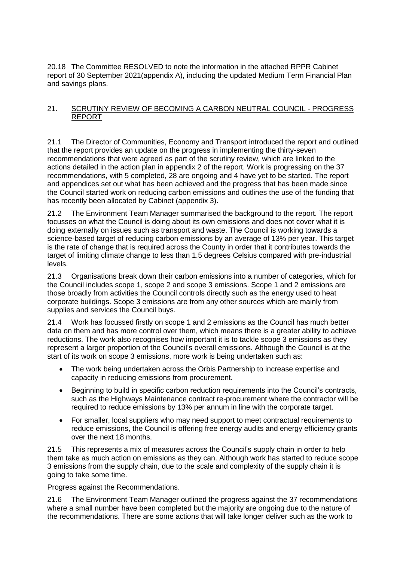20.18 The Committee RESOLVED to note the information in the attached RPPR Cabinet report of 30 September 2021(appendix A), including the updated Medium Term Financial Plan and savings plans.

## 21. SCRUTINY REVIEW OF BECOMING A CARBON NEUTRAL COUNCIL - PROGRESS REPORT

21.1 The Director of Communities, Economy and Transport introduced the report and outlined that the report provides an update on the progress in implementing the thirty-seven recommendations that were agreed as part of the scrutiny review, which are linked to the actions detailed in the action plan in appendix 2 of the report. Work is progressing on the 37 recommendations, with 5 completed, 28 are ongoing and 4 have yet to be started. The report and appendices set out what has been achieved and the progress that has been made since the Council started work on reducing carbon emissions and outlines the use of the funding that has recently been allocated by Cabinet (appendix 3).

21.2 The Environment Team Manager summarised the background to the report. The report focusses on what the Council is doing about its own emissions and does not cover what it is doing externally on issues such as transport and waste. The Council is working towards a science-based target of reducing carbon emissions by an average of 13% per year. This target is the rate of change that is required across the County in order that it contributes towards the target of limiting climate change to less than 1.5 degrees Celsius compared with pre-industrial levels.

21.3 Organisations break down their carbon emissions into a number of categories, which for the Council includes scope 1, scope 2 and scope 3 emissions. Scope 1 and 2 emissions are those broadly from activities the Council controls directly such as the energy used to heat corporate buildings. Scope 3 emissions are from any other sources which are mainly from supplies and services the Council buys.

21.4 Work has focussed firstly on scope 1 and 2 emissions as the Council has much better data on them and has more control over them, which means there is a greater ability to achieve reductions. The work also recognises how important it is to tackle scope 3 emissions as they represent a larger proportion of the Council's overall emissions. Although the Council is at the start of its work on scope 3 emissions, more work is being undertaken such as:

- The work being undertaken across the Orbis Partnership to increase expertise and capacity in reducing emissions from procurement.
- Beginning to build in specific carbon reduction requirements into the Council's contracts, such as the Highways Maintenance contract re-procurement where the contractor will be required to reduce emissions by 13% per annum in line with the corporate target.
- For smaller, local suppliers who may need support to meet contractual requirements to reduce emissions, the Council is offering free energy audits and energy efficiency grants over the next 18 months.

21.5 This represents a mix of measures across the Council's supply chain in order to help them take as much action on emissions as they can. Although work has started to reduce scope 3 emissions from the supply chain, due to the scale and complexity of the supply chain it is going to take some time.

Progress against the Recommendations.

21.6 The Environment Team Manager outlined the progress against the 37 recommendations where a small number have been completed but the majority are ongoing due to the nature of the recommendations. There are some actions that will take longer deliver such as the work to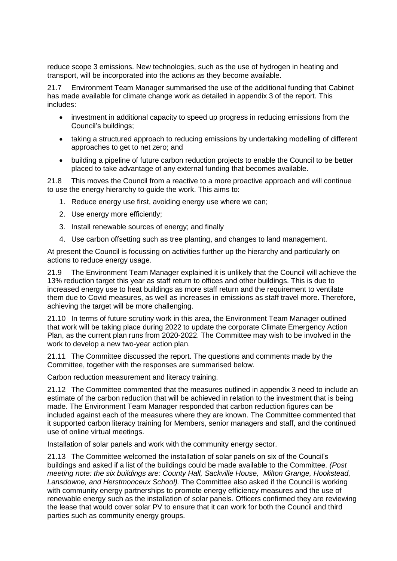reduce scope 3 emissions. New technologies, such as the use of hydrogen in heating and transport, will be incorporated into the actions as they become available.

21.7 Environment Team Manager summarised the use of the additional funding that Cabinet has made available for climate change work as detailed in appendix 3 of the report. This includes:

- investment in additional capacity to speed up progress in reducing emissions from the Council's buildings;
- taking a structured approach to reducing emissions by undertaking modelling of different approaches to get to net zero; and
- building a pipeline of future carbon reduction projects to enable the Council to be better placed to take advantage of any external funding that becomes available.

21.8 This moves the Council from a reactive to a more proactive approach and will continue to use the energy hierarchy to guide the work. This aims to:

- 1. Reduce energy use first, avoiding energy use where we can;
- 2. Use energy more efficiently;
- 3. Install renewable sources of energy; and finally
- 4. Use carbon offsetting such as tree planting, and changes to land management.

At present the Council is focussing on activities further up the hierarchy and particularly on actions to reduce energy usage.

21.9 The Environment Team Manager explained it is unlikely that the Council will achieve the 13% reduction target this year as staff return to offices and other buildings. This is due to increased energy use to heat buildings as more staff return and the requirement to ventilate them due to Covid measures, as well as increases in emissions as staff travel more. Therefore, achieving the target will be more challenging.

21.10 In terms of future scrutiny work in this area, the Environment Team Manager outlined that work will be taking place during 2022 to update the corporate Climate Emergency Action Plan, as the current plan runs from 2020-2022. The Committee may wish to be involved in the work to develop a new two-year action plan.

21.11 The Committee discussed the report. The questions and comments made by the Committee, together with the responses are summarised below.

Carbon reduction measurement and literacy training.

21.12 The Committee commented that the measures outlined in appendix 3 need to include an estimate of the carbon reduction that will be achieved in relation to the investment that is being made. The Environment Team Manager responded that carbon reduction figures can be included against each of the measures where they are known. The Committee commented that it supported carbon literacy training for Members, senior managers and staff, and the continued use of online virtual meetings.

Installation of solar panels and work with the community energy sector.

21.13 The Committee welcomed the installation of solar panels on six of the Council's buildings and asked if a list of the buildings could be made available to the Committee. *(Post meeting note: the six buildings are: County Hall, Sackville House, Milton Grange, Hookstead, Lansdowne, and Herstmonceux School).* The Committee also asked if the Council is working with community energy partnerships to promote energy efficiency measures and the use of renewable energy such as the installation of solar panels. Officers confirmed they are reviewing the lease that would cover solar PV to ensure that it can work for both the Council and third parties such as community energy groups.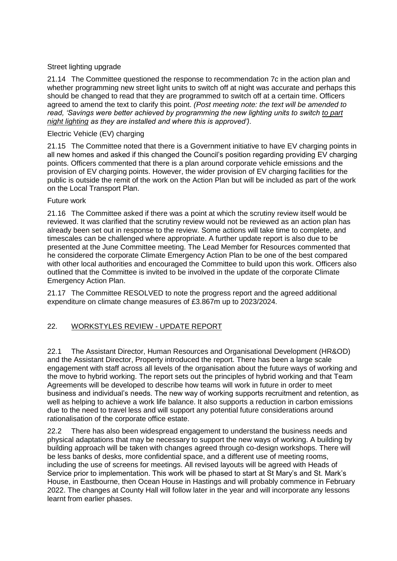## Street lighting upgrade

21.14 The Committee questioned the response to recommendation 7c in the action plan and whether programming new street light units to switch off at night was accurate and perhaps this should be changed to read that they are programmed to switch off at a certain time. Officers agreed to amend the text to clarify this point. *(Post meeting note: the text will be amended to read, 'Savings were better achieved by programming the new lighting units to switch to part night lighting as they are installed and where this is approved').*

## Electric Vehicle (EV) charging

21.15 The Committee noted that there is a Government initiative to have EV charging points in all new homes and asked if this changed the Council's position regarding providing EV charging points. Officers commented that there is a plan around corporate vehicle emissions and the provision of EV charging points. However, the wider provision of EV charging facilities for the public is outside the remit of the work on the Action Plan but will be included as part of the work on the Local Transport Plan.

### Future work

21.16 The Committee asked if there was a point at which the scrutiny review itself would be reviewed. It was clarified that the scrutiny review would not be reviewed as an action plan has already been set out in response to the review. Some actions will take time to complete, and timescales can be challenged where appropriate. A further update report is also due to be presented at the June Committee meeting. The Lead Member for Resources commented that he considered the corporate Climate Emergency Action Plan to be one of the best compared with other local authorities and encouraged the Committee to build upon this work. Officers also outlined that the Committee is invited to be involved in the update of the corporate Climate Emergency Action Plan.

21.17 The Committee RESOLVED to note the progress report and the agreed additional expenditure on climate change measures of £3.867m up to 2023/2024.

# 22. WORKSTYLES REVIEW - UPDATE REPORT

22.1 The Assistant Director, Human Resources and Organisational Development (HR&OD) and the Assistant Director, Property introduced the report. There has been a large scale engagement with staff across all levels of the organisation about the future ways of working and the move to hybrid working. The report sets out the principles of hybrid working and that Team Agreements will be developed to describe how teams will work in future in order to meet business and individual's needs. The new way of working supports recruitment and retention, as well as helping to achieve a work life balance. It also supports a reduction in carbon emissions due to the need to travel less and will support any potential future considerations around rationalisation of the corporate office estate.

22.2 There has also been widespread engagement to understand the business needs and physical adaptations that may be necessary to support the new ways of working. A building by building approach will be taken with changes agreed through co-design workshops. There will be less banks of desks, more confidential space, and a different use of meeting rooms, including the use of screens for meetings. All revised layouts will be agreed with Heads of Service prior to implementation. This work will be phased to start at St Mary's and St. Mark's House, in Eastbourne, then Ocean House in Hastings and will probably commence in February 2022. The changes at County Hall will follow later in the year and will incorporate any lessons learnt from earlier phases.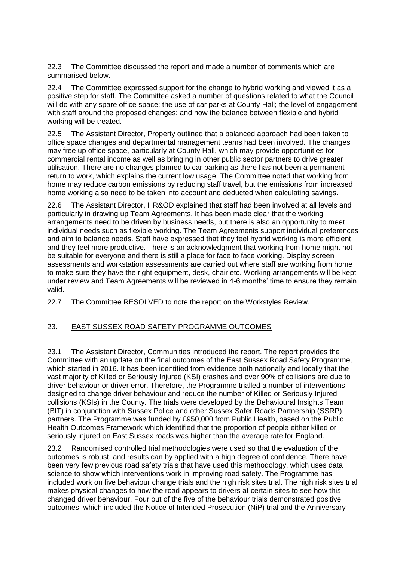22.3 The Committee discussed the report and made a number of comments which are summarised below.

22.4 The Committee expressed support for the change to hybrid working and viewed it as a positive step for staff. The Committee asked a number of questions related to what the Council will do with any spare office space; the use of car parks at County Hall; the level of engagement with staff around the proposed changes; and how the balance between flexible and hybrid working will be treated.

22.5 The Assistant Director, Property outlined that a balanced approach had been taken to office space changes and departmental management teams had been involved. The changes may free up office space, particularly at County Hall, which may provide opportunities for commercial rental income as well as bringing in other public sector partners to drive greater utilisation. There are no changes planned to car parking as there has not been a permanent return to work, which explains the current low usage. The Committee noted that working from home may reduce carbon emissions by reducing staff travel, but the emissions from increased home working also need to be taken into account and deducted when calculating savings.

22.6 The Assistant Director, HR&OD explained that staff had been involved at all levels and particularly in drawing up Team Agreements. It has been made clear that the working arrangements need to be driven by business needs, but there is also an opportunity to meet individual needs such as flexible working. The Team Agreements support individual preferences and aim to balance needs. Staff have expressed that they feel hybrid working is more efficient and they feel more productive. There is an acknowledgment that working from home might not be suitable for everyone and there is still a place for face to face working. Display screen assessments and workstation assessments are carried out where staff are working from home to make sure they have the right equipment, desk, chair etc. Working arrangements will be kept under review and Team Agreements will be reviewed in 4-6 months' time to ensure they remain valid.

22.7 The Committee RESOLVED to note the report on the Workstyles Review.

# 23. EAST SUSSEX ROAD SAFETY PROGRAMME OUTCOMES

23.1 The Assistant Director, Communities introduced the report. The report provides the Committee with an update on the final outcomes of the East Sussex Road Safety Programme, which started in 2016. It has been identified from evidence both nationally and locally that the vast majority of Killed or Seriously Injured (KSI) crashes and over 90% of collisions are due to driver behaviour or driver error. Therefore, the Programme trialled a number of interventions designed to change driver behaviour and reduce the number of Killed or Seriously Injured collisions (KSIs) in the County. The trials were developed by the Behavioural Insights Team (BIT) in conjunction with Sussex Police and other Sussex Safer Roads Partnership (SSRP) partners. The Programme was funded by £950,000 from Public Health, based on the Public Health Outcomes Framework which identified that the proportion of people either killed or seriously injured on East Sussex roads was higher than the average rate for England.

23.2 Randomised controlled trial methodologies were used so that the evaluation of the outcomes is robust, and results can by applied with a high degree of confidence. There have been very few previous road safety trials that have used this methodology, which uses data science to show which interventions work in improving road safety. The Programme has included work on five behaviour change trials and the high risk sites trial. The high risk sites trial makes physical changes to how the road appears to drivers at certain sites to see how this changed driver behaviour. Four out of the five of the behaviour trials demonstrated positive outcomes, which included the Notice of Intended Prosecution (NiP) trial and the Anniversary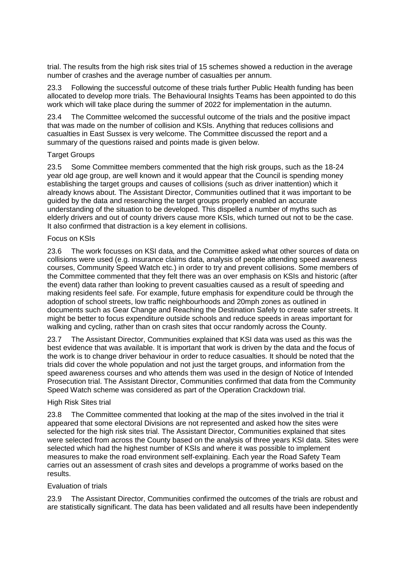trial. The results from the high risk sites trial of 15 schemes showed a reduction in the average number of crashes and the average number of casualties per annum.

23.3 Following the successful outcome of these trials further Public Health funding has been allocated to develop more trials. The Behavioural Insights Teams has been appointed to do this work which will take place during the summer of 2022 for implementation in the autumn.

23.4 The Committee welcomed the successful outcome of the trials and the positive impact that was made on the number of collision and KSIs. Anything that reduces collisions and casualties in East Sussex is very welcome. The Committee discussed the report and a summary of the questions raised and points made is given below.

#### Target Groups

23.5 Some Committee members commented that the high risk groups, such as the 18-24 year old age group, are well known and it would appear that the Council is spending money establishing the target groups and causes of collisions (such as driver inattention) which it already knows about. The Assistant Director, Communities outlined that it was important to be guided by the data and researching the target groups properly enabled an accurate understanding of the situation to be developed. This dispelled a number of myths such as elderly drivers and out of county drivers cause more KSIs, which turned out not to be the case. It also confirmed that distraction is a key element in collisions.

#### Focus on KSIs

23.6 The work focusses on KSI data, and the Committee asked what other sources of data on collisions were used (e.g. insurance claims data, analysis of people attending speed awareness courses, Community Speed Watch etc.) in order to try and prevent collisions. Some members of the Committee commented that they felt there was an over emphasis on KSIs and historic (after the event) data rather than looking to prevent casualties caused as a result of speeding and making residents feel safe. For example, future emphasis for expenditure could be through the adoption of school streets, low traffic neighbourhoods and 20mph zones as outlined in documents such as Gear Change and Reaching the Destination Safely to create safer streets. It might be better to focus expenditure outside schools and reduce speeds in areas important for walking and cycling, rather than on crash sites that occur randomly across the County.

23.7 The Assistant Director, Communities explained that KSI data was used as this was the best evidence that was available. It is important that work is driven by the data and the focus of the work is to change driver behaviour in order to reduce casualties. It should be noted that the trials did cover the whole population and not just the target groups, and information from the speed awareness courses and who attends them was used in the design of Notice of Intended Prosecution trial. The Assistant Director, Communities confirmed that data from the Community Speed Watch scheme was considered as part of the Operation Crackdown trial.

### High Risk Sites trial

23.8 The Committee commented that looking at the map of the sites involved in the trial it appeared that some electoral Divisions are not represented and asked how the sites were selected for the high risk sites trial. The Assistant Director, Communities explained that sites were selected from across the County based on the analysis of three years KSI data. Sites were selected which had the highest number of KSIs and where it was possible to implement measures to make the road environment self-explaining. Each year the Road Safety Team carries out an assessment of crash sites and develops a programme of works based on the results.

### Evaluation of trials

23.9 The Assistant Director, Communities confirmed the outcomes of the trials are robust and are statistically significant. The data has been validated and all results have been independently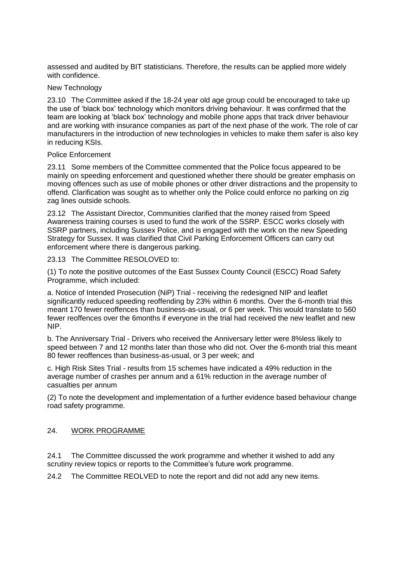assessed and audited by BIT statisticians. Therefore, the results can be applied more widely with confidence.

#### New Technology

23.10 The Committee asked if the 18-24 year old age group could be encouraged to take up the use of 'black box' technology which monitors driving behaviour. It was confirmed that the team are looking at 'black box' technology and mobile phone apps that track driver behaviour and are working with insurance companies as part of the next phase of the work. The role of car manufacturers in the introduction of new technologies in vehicles to make them safer is also key in reducing KSIs.

#### Police Enforcement

23.11 Some members of the Committee commented that the Police focus appeared to be mainly on speeding enforcement and questioned whether there should be greater emphasis on moving offences such as use of mobile phones or other driver distractions and the propensity to offend. Clarification was sought as to whether only the Police could enforce no parking on zig zag lines outside schools.

23.12 The Assistant Director, Communities clarified that the money raised from Speed Awareness training courses is used to fund the work of the SSRP. ESCC works closely with SSRP partners, including Sussex Police, and is engaged with the work on the new Speeding Strategy for Sussex. It was clarified that Civil Parking Enforcement Officers can carry out enforcement where there is dangerous parking.

23.13 The Committee RESOLOVED to:

(1) To note the positive outcomes of the East Sussex County Council (ESCC) Road Safety Programme, which included:

a. Notice of Intended Prosecution (NiP) Trial - receiving the redesigned NIP and leaflet significantly reduced speeding reoffending by 23% within 6 months. Over the 6-month trial this meant 170 fewer reoffences than business-as-usual, or 6 per week. This would translate to 560 fewer reoffences over the 6months if everyone in the trial had received the new leaflet and new NIP.

b. The Anniversary Trial - Drivers who received the Anniversary letter were 8%less likely to speed between 7 and 12 months later than those who did not. Over the 6-month trial this meant 80 fewer reoffences than business-as-usual, or 3 per week; and

c. High Risk Sites Trial - results from 15 schemes have indicated a 49% reduction in the average number of crashes per annum and a 61% reduction in the average number of casualties per annum

(2) To note the development and implementation of a further evidence based behaviour change road safety programme.

### 24. WORK PROGRAMME

24.1 The Committee discussed the work programme and whether it wished to add any scrutiny review topics or reports to the Committee's future work programme.

24.2 The Committee REOLVED to note the report and did not add any new items.